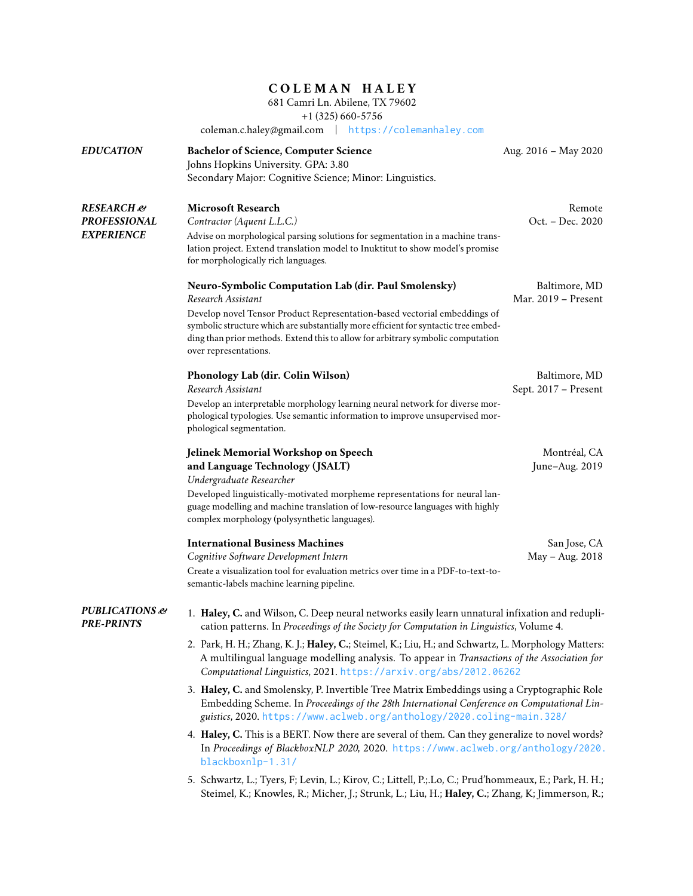## **C O L E M A N H A L E Y**

681 Camri Ln. Abilene, TX 79602

+1 (325) 660-5756

coleman.c.haley@gmail.com | <https://colemanhaley.com>

| <b>EDUCATION</b>                                              | <b>Bachelor of Science, Computer Science</b><br>Johns Hopkins University. GPA: 3.80<br>Secondary Major: Cognitive Science; Minor: Linguistics.                                                                                                                                                                                                                     | Aug. 2016 - May 2020                  |  |
|---------------------------------------------------------------|--------------------------------------------------------------------------------------------------------------------------------------------------------------------------------------------------------------------------------------------------------------------------------------------------------------------------------------------------------------------|---------------------------------------|--|
| <b>RESEARCH</b> &<br><b>PROFESSIONAL</b><br><b>EXPERIENCE</b> | <b>Microsoft Research</b><br>Contractor (Aquent L.L.C.)<br>Advise on morphological parsing solutions for segmentation in a machine trans-<br>lation project. Extend translation model to Inuktitut to show model's promise<br>for morphologically rich languages.                                                                                                  | Remote<br>Oct. - Dec. 2020            |  |
|                                                               | <b>Neuro-Symbolic Computation Lab (dir. Paul Smolensky)</b><br>Research Assistant<br>Develop novel Tensor Product Representation-based vectorial embeddings of<br>symbolic structure which are substantially more efficient for syntactic tree embed-<br>ding than prior methods. Extend this to allow for arbitrary symbolic computation<br>over representations. | Baltimore, MD<br>Mar. 2019 - Present  |  |
|                                                               | Phonology Lab (dir. Colin Wilson)<br>Research Assistant<br>Develop an interpretable morphology learning neural network for diverse mor-<br>phological typologies. Use semantic information to improve unsupervised mor-<br>phological segmentation.                                                                                                                | Baltimore, MD<br>Sept. 2017 - Present |  |
|                                                               | Jelinek Memorial Workshop on Speech<br>and Language Technology (JSALT)<br>Undergraduate Researcher<br>Developed linguistically-motivated morpheme representations for neural lan-<br>guage modelling and machine translation of low-resource languages with highly<br>complex morphology (polysynthetic languages).                                                | Montréal, CA<br>June-Aug. 2019        |  |
|                                                               | <b>International Business Machines</b><br>Cognitive Software Development Intern<br>Create a visualization tool for evaluation metrics over time in a PDF-to-text-to-<br>semantic-labels machine learning pipeline.                                                                                                                                                 | San Jose, CA<br>May - Aug. 2018       |  |
| <b>PUBLICATIONS</b> &<br><b>PRE-PRINTS</b>                    | 1. Haley, C. and Wilson, C. Deep neural networks easily learn unnatural infixation and redupli-<br>cation patterns. In Proceedings of the Society for Computation in Linguistics, Volume 4.                                                                                                                                                                        |                                       |  |
|                                                               | 2. Park, H. H.; Zhang, K. J.; Haley, C.; Steimel, K.; Liu, H.; and Schwartz, L. Morphology Matters:<br>A multilingual language modelling analysis. To appear in Transactions of the Association for<br>Computational Linguistics, 2021. https://arxiv.org/abs/2012.06262                                                                                           |                                       |  |
|                                                               | 3. Haley, C. and Smolensky, P. Invertible Tree Matrix Embeddings using a Cryptographic Role<br>Embedding Scheme. In Proceedings of the 28th International Conference on Computational Lin-<br>guistics, 2020. https://www.aclweb.org/anthology/2020.coling-main.328/                                                                                               |                                       |  |
|                                                               | 4. Haley, C. This is a BERT. Now there are several of them. Can they generalize to novel words?<br>In Proceedings of BlackboxNLP 2020, 2020. https://www.aclweb.org/anthology/2020.<br>blackboxnlp-1.31/                                                                                                                                                           |                                       |  |
|                                                               | 5. Schwartz, L.; Tyers, F; Levin, L.; Kirov, C.; Littell, P.; Lo, C.; Prud'hommeaux, E.; Park, H. H.;<br>Steimel, K.; Knowles, R.; Micher, J.; Strunk, L.; Liu, H.; Haley, C.; Zhang, K; Jimmerson, R.;                                                                                                                                                            |                                       |  |